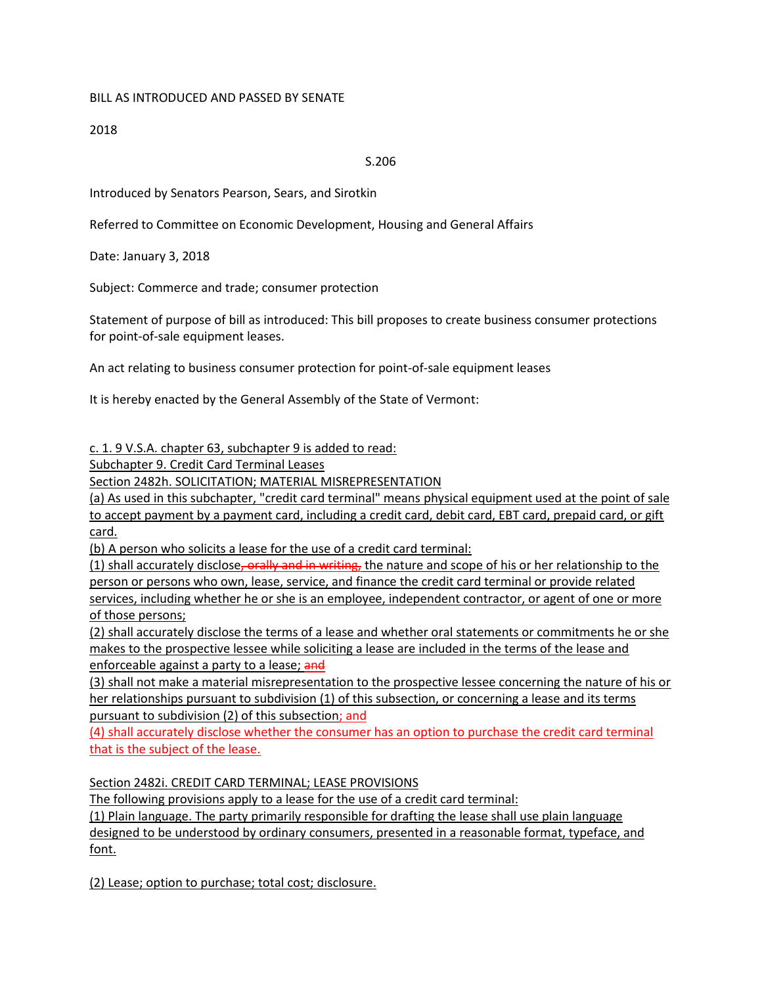## BILL AS INTRODUCED AND PASSED BY SENATE

2018

## S.206

Introduced by Senators Pearson, Sears, and Sirotkin

Referred to Committee on Economic Development, Housing and General Affairs

Date: January 3, 2018

Subject: Commerce and trade; consumer protection

Statement of purpose of bill as introduced: This bill proposes to create business consumer protections for point-of-sale equipment leases.

An act relating to business consumer protection for point-of-sale equipment leases

It is hereby enacted by the General Assembly of the State of Vermont:

c. 1. 9 V.S.A. chapter 63, subchapter 9 is added to read:

Subchapter 9. Credit Card Terminal Leases

Section 2482h. SOLICITATION; MATERIAL MISREPRESENTATION

(a) As used in this subchapter, "credit card terminal" means physical equipment used at the point of sale to accept payment by a payment card, including a credit card, debit card, EBT card, prepaid card, or gift card.

(b) A person who solicits a lease for the use of a credit card terminal:

(1) shall accurately disclose, orally and in writing, the nature and scope of his or her relationship to the person or persons who own, lease, service, and finance the credit card terminal or provide related services, including whether he or she is an employee, independent contractor, or agent of one or more

of those persons;

(2) shall accurately disclose the terms of a lease and whether oral statements or commitments he or she makes to the prospective lessee while soliciting a lease are included in the terms of the lease and enforceable against a party to a lease; and

(3) shall not make a material misrepresentation to the prospective lessee concerning the nature of his or her relationships pursuant to subdivision (1) of this subsection, or concerning a lease and its terms pursuant to subdivision (2) of this subsection; and

(4) shall accurately disclose whether the consumer has an option to purchase the credit card terminal that is the subject of the lease.

Section 2482i. CREDIT CARD TERMINAL; LEASE PROVISIONS

The following provisions apply to a lease for the use of a credit card terminal:

(1) Plain language. The party primarily responsible for drafting the lease shall use plain language designed to be understood by ordinary consumers, presented in a reasonable format, typeface, and font.

(2) Lease; option to purchase; total cost; disclosure.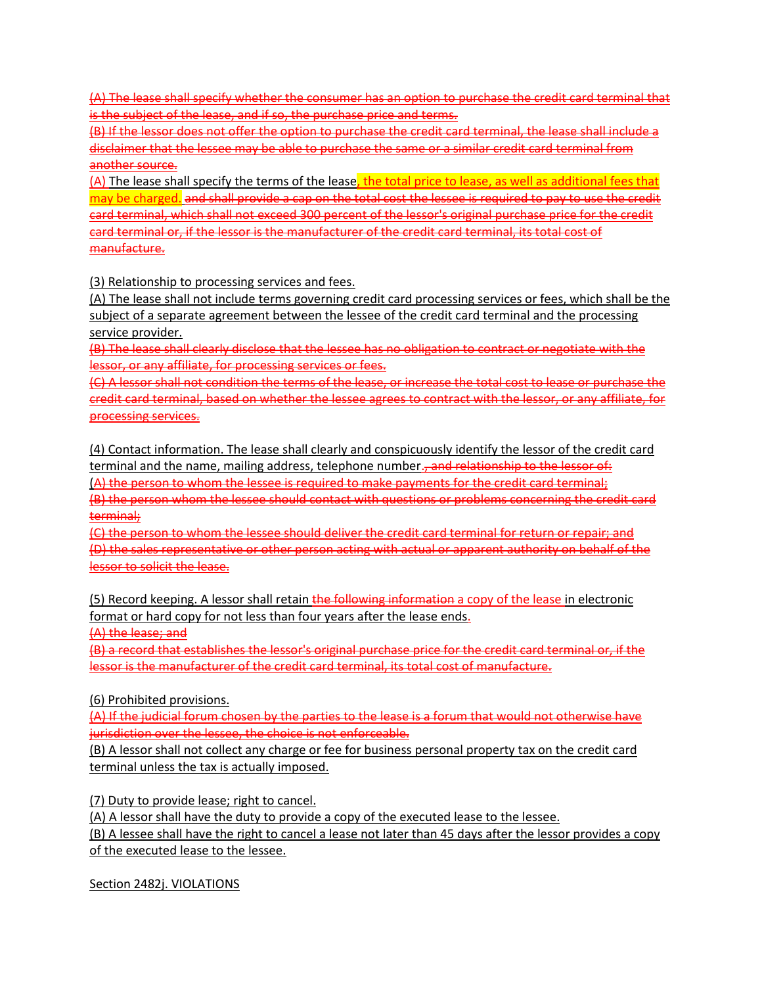(A) The lease shall specify whether the consumer has an option to purchase the credit card terminal that is the subject of the lease, and if so, the purchase price and terms.

(B) If the lessor does not offer the option to purchase the credit card terminal, the lease shall include a disclaimer that the lessee may be able to purchase the same or a similar credit card terminal from another source.

(A) The lease shall specify the terms of the lease, the total price to lease, as well as additional fees that may be charged. and shall provide a cap on the total cost the lessee is required to pay to use the credit card terminal, which shall not exceed 300 percent of the lessor's original purchase price for the credit card terminal or, if the lessor is the manufacturer of the credit card terminal, its total cost of manufacture.

(3) Relationship to processing services and fees.

(A) The lease shall not include terms governing credit card processing services or fees, which shall be the subject of a separate agreement between the lessee of the credit card terminal and the processing service provider.

(B) The lease shall clearly disclose that the lessee has no obligation to contract or negotiate with the lessor, or any affiliate, for processing services or fees.

(C) A lessor shall not condition the terms of the lease, or increase the total cost to lease or purchase the credit card terminal, based on whether the lessee agrees to contract with the lessor, or any affiliate, for processing services.

(4) Contact information. The lease shall clearly and conspicuously identify the lessor of the credit card terminal and the name, mailing address, telephone number., and relationship to the lessor of: (A) the person to whom the lessee is required to make payments for the credit card terminal; (B) the person whom the lessee should contact with questions or problems concerning the credit card terminal;

(C) the person to whom the lessee should deliver the credit card terminal for return or repair; and (D) the sales representative or other person acting with actual or apparent authority on behalf of the lessor to solicit the lease.

(5) Record keeping. A lessor shall retain the following information a copy of the lease in electronic format or hard copy for not less than four years after the lease ends.

(A) the lease; and

(B) a record that establishes the lessor's original purchase price for the credit card terminal or, if the lessor is the manufacturer of the credit card terminal, its total cost of manufacture.

(6) Prohibited provisions.

(A) If the judicial forum chosen by the parties to the lease is a forum that would not otherwise have jurisdiction over the lessee, the choice is not enforceable.

(B) A lessor shall not collect any charge or fee for business personal property tax on the credit card terminal unless the tax is actually imposed.

(7) Duty to provide lease; right to cancel.

(A) A lessor shall have the duty to provide a copy of the executed lease to the lessee.

(B) A lessee shall have the right to cancel a lease not later than 45 days after the lessor provides a copy of the executed lease to the lessee.

Section 2482j. VIOLATIONS